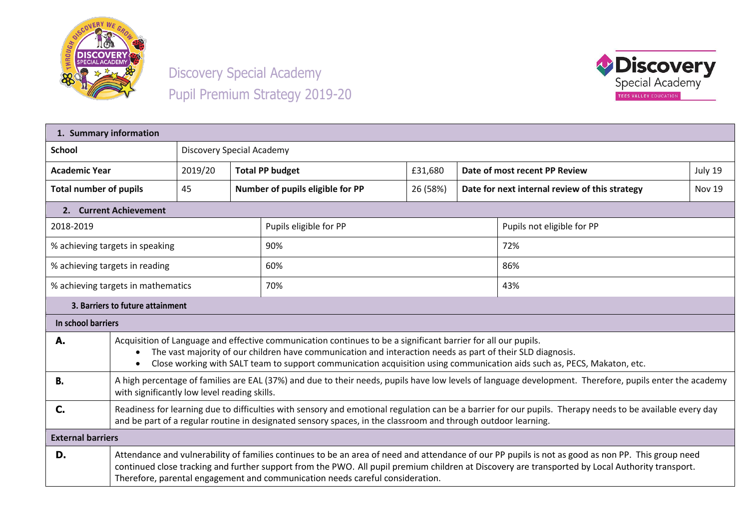

Discovery Special Academy Pupil Premium Strategy 2019-20



| 1. Summary information                                                                                                                                                                                                                                                                                                                                                                        |                                                                                                                                                                                                         |                        |                        |                                  |          |     |                                                |               |
|-----------------------------------------------------------------------------------------------------------------------------------------------------------------------------------------------------------------------------------------------------------------------------------------------------------------------------------------------------------------------------------------------|---------------------------------------------------------------------------------------------------------------------------------------------------------------------------------------------------------|------------------------|------------------------|----------------------------------|----------|-----|------------------------------------------------|---------------|
| <b>School</b><br>Discovery Special Academy                                                                                                                                                                                                                                                                                                                                                    |                                                                                                                                                                                                         |                        |                        |                                  |          |     |                                                |               |
| <b>Academic Year</b>                                                                                                                                                                                                                                                                                                                                                                          |                                                                                                                                                                                                         | 2019/20                | <b>Total PP budget</b> |                                  | £31,680  |     | Date of most recent PP Review                  | July 19       |
|                                                                                                                                                                                                                                                                                                                                                                                               | <b>Total number of pupils</b><br>45                                                                                                                                                                     |                        |                        | Number of pupils eligible for PP | 26 (58%) |     | Date for next internal review of this strategy | <b>Nov 19</b> |
|                                                                                                                                                                                                                                                                                                                                                                                               | 2. Current Achievement                                                                                                                                                                                  |                        |                        |                                  |          |     |                                                |               |
| 2018-2019                                                                                                                                                                                                                                                                                                                                                                                     |                                                                                                                                                                                                         | Pupils eligible for PP |                        | Pupils not eligible for PP       |          |     |                                                |               |
|                                                                                                                                                                                                                                                                                                                                                                                               | % achieving targets in speaking                                                                                                                                                                         |                        |                        | 90%                              |          | 72% |                                                |               |
| % achieving targets in reading                                                                                                                                                                                                                                                                                                                                                                |                                                                                                                                                                                                         |                        | 60%                    |                                  | 86%      |     |                                                |               |
| % achieving targets in mathematics                                                                                                                                                                                                                                                                                                                                                            |                                                                                                                                                                                                         |                        | 70%                    |                                  | 43%      |     |                                                |               |
|                                                                                                                                                                                                                                                                                                                                                                                               | 3. Barriers to future attainment                                                                                                                                                                        |                        |                        |                                  |          |     |                                                |               |
| In school barriers                                                                                                                                                                                                                                                                                                                                                                            |                                                                                                                                                                                                         |                        |                        |                                  |          |     |                                                |               |
| А.<br>Acquisition of Language and effective communication continues to be a significant barrier for all our pupils.<br>The vast majority of our children have communication and interaction needs as part of their SLD diagnosis.<br>$\bullet$<br>Close working with SALT team to support communication acquisition using communication aids such as, PECS, Makaton, etc.                     |                                                                                                                                                                                                         |                        |                        |                                  |          |     |                                                |               |
| <b>B.</b>                                                                                                                                                                                                                                                                                                                                                                                     | A high percentage of families are EAL (37%) and due to their needs, pupils have low levels of language development. Therefore, pupils enter the academy<br>with significantly low level reading skills. |                        |                        |                                  |          |     |                                                |               |
| C.<br>Readiness for learning due to difficulties with sensory and emotional regulation can be a barrier for our pupils. Therapy needs to be available every day<br>and be part of a regular routine in designated sensory spaces, in the classroom and through outdoor learning.                                                                                                              |                                                                                                                                                                                                         |                        |                        |                                  |          |     |                                                |               |
| <b>External barriers</b>                                                                                                                                                                                                                                                                                                                                                                      |                                                                                                                                                                                                         |                        |                        |                                  |          |     |                                                |               |
| Attendance and vulnerability of families continues to be an area of need and attendance of our PP pupils is not as good as non PP. This group need<br>D.<br>continued close tracking and further support from the PWO. All pupil premium children at Discovery are transported by Local Authority transport.<br>Therefore, parental engagement and communication needs careful consideration. |                                                                                                                                                                                                         |                        |                        |                                  |          |     |                                                |               |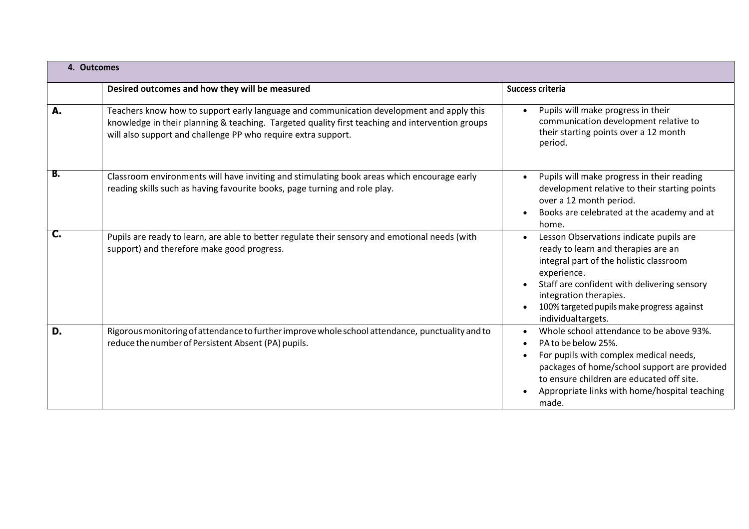| 4. Outcomes |                                                                                                                                                                                                                                                              |                                                                                                                                                                                                                                                                                       |
|-------------|--------------------------------------------------------------------------------------------------------------------------------------------------------------------------------------------------------------------------------------------------------------|---------------------------------------------------------------------------------------------------------------------------------------------------------------------------------------------------------------------------------------------------------------------------------------|
|             | Desired outcomes and how they will be measured                                                                                                                                                                                                               | Success criteria                                                                                                                                                                                                                                                                      |
| A.          | Teachers know how to support early language and communication development and apply this<br>knowledge in their planning & teaching. Targeted quality first teaching and intervention groups<br>will also support and challenge PP who require extra support. | Pupils will make progress in their<br>communication development relative to<br>their starting points over a 12 month<br>period.                                                                                                                                                       |
| в.          | Classroom environments will have inviting and stimulating book areas which encourage early<br>reading skills such as having favourite books, page turning and role play.                                                                                     | Pupils will make progress in their reading<br>development relative to their starting points<br>over a 12 month period.<br>Books are celebrated at the academy and at<br>home.                                                                                                         |
| C.          | Pupils are ready to learn, are able to better regulate their sensory and emotional needs (with<br>support) and therefore make good progress.                                                                                                                 | Lesson Observations indicate pupils are<br>ready to learn and therapies are an<br>integral part of the holistic classroom<br>experience.<br>Staff are confident with delivering sensory<br>integration therapies.<br>100% targeted pupils make progress against<br>individualtargets. |
| D.          | Rigorous monitoring of attendance to further improve whole school attendance, punctuality and to<br>reduce the number of Persistent Absent (PA) pupils.                                                                                                      | Whole school attendance to be above 93%.<br>PA to be below 25%.<br>For pupils with complex medical needs,<br>packages of home/school support are provided<br>to ensure children are educated off site.<br>Appropriate links with home/hospital teaching<br>made.                      |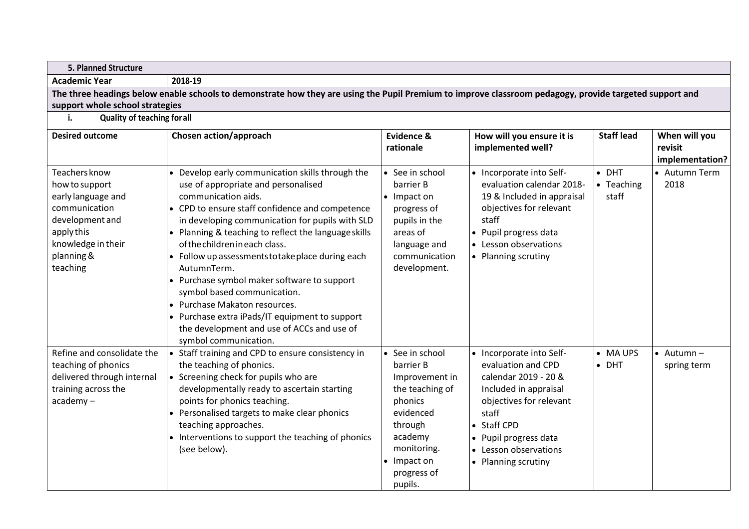| 5. Planned Structure                                                                                                                                                                       |                                                                                                                                                                                                                                                                                                                                                                                                                                                                                                                                                                                                                            |                                                                                                                                                                         |                                                                                                                                                                                                                             |                                      |                                             |  |  |  |
|--------------------------------------------------------------------------------------------------------------------------------------------------------------------------------------------|----------------------------------------------------------------------------------------------------------------------------------------------------------------------------------------------------------------------------------------------------------------------------------------------------------------------------------------------------------------------------------------------------------------------------------------------------------------------------------------------------------------------------------------------------------------------------------------------------------------------------|-------------------------------------------------------------------------------------------------------------------------------------------------------------------------|-----------------------------------------------------------------------------------------------------------------------------------------------------------------------------------------------------------------------------|--------------------------------------|---------------------------------------------|--|--|--|
| <b>Academic Year</b>                                                                                                                                                                       | 2018-19                                                                                                                                                                                                                                                                                                                                                                                                                                                                                                                                                                                                                    |                                                                                                                                                                         |                                                                                                                                                                                                                             |                                      |                                             |  |  |  |
| The three headings below enable schools to demonstrate how they are using the Pupil Premium to improve classroom pedagogy, provide targeted support and<br>support whole school strategies |                                                                                                                                                                                                                                                                                                                                                                                                                                                                                                                                                                                                                            |                                                                                                                                                                         |                                                                                                                                                                                                                             |                                      |                                             |  |  |  |
| <b>Quality of teaching for all</b><br>i.                                                                                                                                                   |                                                                                                                                                                                                                                                                                                                                                                                                                                                                                                                                                                                                                            |                                                                                                                                                                         |                                                                                                                                                                                                                             |                                      |                                             |  |  |  |
| <b>Desired outcome</b>                                                                                                                                                                     | Chosen action/approach                                                                                                                                                                                                                                                                                                                                                                                                                                                                                                                                                                                                     | Evidence &<br>rationale                                                                                                                                                 | How will you ensure it is<br>implemented well?                                                                                                                                                                              | <b>Staff lead</b>                    | When will you<br>revisit<br>implementation? |  |  |  |
| Teachers know<br>how to support<br>early language and<br>communication<br>development and<br>apply this<br>knowledge in their<br>planning &<br>teaching                                    | • Develop early communication skills through the<br>use of appropriate and personalised<br>communication aids.<br>• CPD to ensure staff confidence and competence<br>in developing communication for pupils with SLD<br>• Planning & teaching to reflect the language skills<br>of the children in each class.<br>• Follow up assessments to take place during each<br>AutumnTerm.<br>• Purchase symbol maker software to support<br>symbol based communication.<br>• Purchase Makaton resources.<br>• Purchase extra iPads/IT equipment to support<br>the development and use of ACCs and use of<br>symbol communication. | • See in school<br>barrier B<br>• Impact on<br>progress of<br>pupils in the<br>areas of<br>language and<br>communication<br>development.                                | • Incorporate into Self-<br>evaluation calendar 2018-<br>19 & Included in appraisal<br>objectives for relevant<br>staff<br>Pupil progress data<br>$\bullet$<br>• Lesson observations<br>• Planning scrutiny                 | $\bullet$ DHT<br>• Teaching<br>staff | • Autumn Term<br>2018                       |  |  |  |
| Refine and consolidate the<br>teaching of phonics<br>delivered through internal<br>training across the<br>$academy -$                                                                      | • Staff training and CPD to ensure consistency in<br>the teaching of phonics.<br>• Screening check for pupils who are<br>developmentally ready to ascertain starting<br>points for phonics teaching.<br>• Personalised targets to make clear phonics<br>teaching approaches.<br>• Interventions to support the teaching of phonics<br>(see below).                                                                                                                                                                                                                                                                         | • See in school<br>barrier B<br>Improvement in<br>the teaching of<br>phonics<br>evidenced<br>through<br>academy<br>monitoring.<br>• Impact on<br>progress of<br>pupils. | • Incorporate into Self-<br>evaluation and CPD<br>calendar 2019 - 20 &<br>Included in appraisal<br>objectives for relevant<br>staff<br>• Staff CPD<br>• Pupil progress data<br>• Lesson observations<br>• Planning scrutiny | • MA UPS<br>$\bullet$ DHT            | $\bullet$ Autumn -<br>spring term           |  |  |  |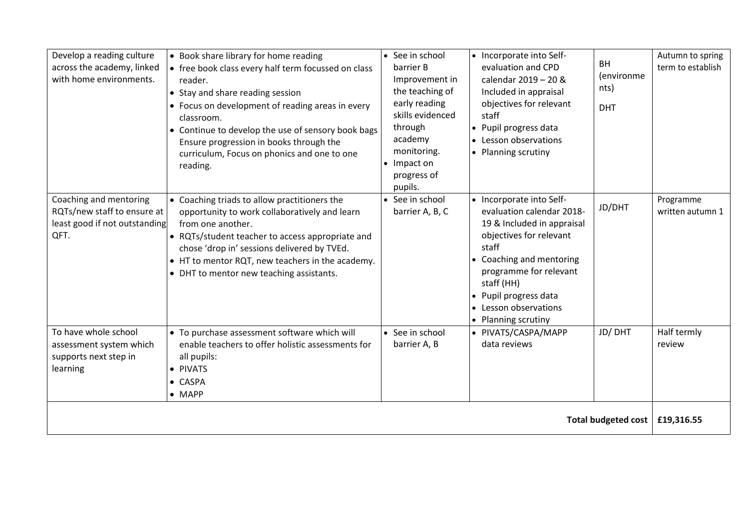| Develop a reading culture<br>across the academy, linked<br>with home environments.             | • Book share library for home reading<br>• free book class every half term focussed on class<br>reader.<br>• Stay and share reading session<br>• Focus on development of reading areas in every<br>classroom.<br>• Continue to develop the use of sensory book bags<br>Ensure progression in books through the<br>curriculum, Focus on phonics and one to one<br>reading. | • See in school<br>barrier B<br>Improvement in<br>the teaching of<br>early reading<br>skills evidenced<br>through<br>academy<br>monitoring.<br>• Impact on<br>progress of<br>pupils. | • Incorporate into Self-<br>evaluation and CPD<br>calendar 2019 - 20 &<br>Included in appraisal<br>objectives for relevant<br>staff<br>• Pupil progress data<br>• Lesson observations<br>• Planning scrutiny                                                         | <b>BH</b><br>(environme<br>nts)<br><b>DHT</b> | Autumn to spring<br>term to establish |
|------------------------------------------------------------------------------------------------|---------------------------------------------------------------------------------------------------------------------------------------------------------------------------------------------------------------------------------------------------------------------------------------------------------------------------------------------------------------------------|--------------------------------------------------------------------------------------------------------------------------------------------------------------------------------------|----------------------------------------------------------------------------------------------------------------------------------------------------------------------------------------------------------------------------------------------------------------------|-----------------------------------------------|---------------------------------------|
| Coaching and mentoring<br>RQTs/new staff to ensure at<br>least good if not outstanding<br>QFT. | • Coaching triads to allow practitioners the<br>opportunity to work collaboratively and learn<br>from one another.<br>• RQTs/student teacher to access appropriate and<br>chose 'drop in' sessions delivered by TVEd.<br>• HT to mentor RQT, new teachers in the academy.<br>• DHT to mentor new teaching assistants.                                                     | • See in school<br>barrier A, B, C                                                                                                                                                   | • Incorporate into Self-<br>evaluation calendar 2018-<br>19 & Included in appraisal<br>objectives for relevant<br>staff<br>• Coaching and mentoring<br>programme for relevant<br>staff (HH)<br>• Pupil progress data<br>• Lesson observations<br>• Planning scrutiny | JD/DHT                                        | Programme<br>written autumn 1         |
| To have whole school<br>assessment system which<br>supports next step in<br>learning           | • To purchase assessment software which will<br>enable teachers to offer holistic assessments for<br>all pupils:<br>• PIVATS<br>• CASPA<br>$\bullet$ MAPP                                                                                                                                                                                                                 | • See in school<br>barrier A, B                                                                                                                                                      | • PIVATS/CASPA/MAPP<br>data reviews                                                                                                                                                                                                                                  | JD/DHT                                        | Half termly<br>review                 |
| <b>Total budgeted cost</b>                                                                     |                                                                                                                                                                                                                                                                                                                                                                           |                                                                                                                                                                                      |                                                                                                                                                                                                                                                                      |                                               |                                       |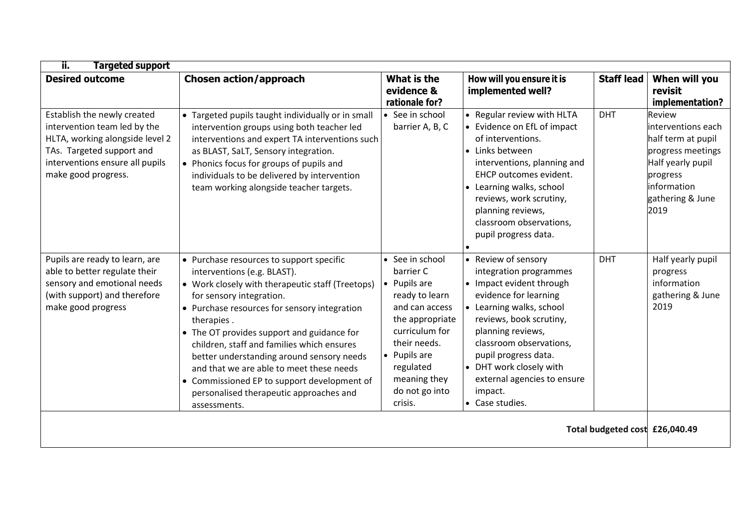| <b>Targeted support</b><br>ii.                                                                                                                                                        |                                                                                                                                                                                                                                                                                                                                                                                                                                                                                                                      |                                                                                                                                                                                                                        |                                                                                                                                                                                                                                                                                                                           |                   |                                                                                                                                                            |
|---------------------------------------------------------------------------------------------------------------------------------------------------------------------------------------|----------------------------------------------------------------------------------------------------------------------------------------------------------------------------------------------------------------------------------------------------------------------------------------------------------------------------------------------------------------------------------------------------------------------------------------------------------------------------------------------------------------------|------------------------------------------------------------------------------------------------------------------------------------------------------------------------------------------------------------------------|---------------------------------------------------------------------------------------------------------------------------------------------------------------------------------------------------------------------------------------------------------------------------------------------------------------------------|-------------------|------------------------------------------------------------------------------------------------------------------------------------------------------------|
| <b>Desired outcome</b>                                                                                                                                                                | <b>Chosen action/approach</b>                                                                                                                                                                                                                                                                                                                                                                                                                                                                                        | What is the<br>evidence &<br>rationale for?                                                                                                                                                                            | How will you ensure it is<br>implemented well?                                                                                                                                                                                                                                                                            | <b>Staff lead</b> | When will you<br>revisit<br>implementation?                                                                                                                |
| Establish the newly created<br>intervention team led by the<br>HLTA, working alongside level 2<br>TAs. Targeted support and<br>interventions ensure all pupils<br>make good progress. | • Targeted pupils taught individually or in small<br>intervention groups using both teacher led<br>interventions and expert TA interventions such<br>as BLAST, SaLT, Sensory integration.<br>• Phonics focus for groups of pupils and<br>individuals to be delivered by intervention<br>team working alongside teacher targets.                                                                                                                                                                                      | • See in school<br>barrier A, B, C                                                                                                                                                                                     | • Regular review with HLTA<br>• Evidence on EfL of impact<br>of interventions.<br>• Links between<br>interventions, planning and<br><b>EHCP outcomes evident.</b><br>• Learning walks, school<br>reviews, work scrutiny,<br>planning reviews,<br>classroom observations,<br>pupil progress data.                          | <b>DHT</b>        | <b>Review</b><br>interventions each<br>half term at pupil<br>progress meetings<br>Half yearly pupil<br>progress<br>information<br>gathering & June<br>2019 |
| Pupils are ready to learn, are<br>able to better regulate their<br>sensory and emotional needs<br>(with support) and therefore<br>make good progress                                  | • Purchase resources to support specific<br>interventions (e.g. BLAST).<br>• Work closely with therapeutic staff (Treetops)<br>for sensory integration.<br>• Purchase resources for sensory integration<br>therapies.<br>• The OT provides support and guidance for<br>children, staff and families which ensures<br>better understanding around sensory needs<br>and that we are able to meet these needs<br>• Commissioned EP to support development of<br>personalised therapeutic approaches and<br>assessments. | See in school<br>barrier C<br>Pupils are<br>ready to learn<br>and can access<br>the appropriate<br>curriculum for<br>their needs.<br>Pupils are<br>$\bullet$<br>regulated<br>meaning they<br>do not go into<br>crisis. | • Review of sensory<br>integration programmes<br>• Impact evident through<br>evidence for learning<br>• Learning walks, school<br>reviews, book scrutiny,<br>planning reviews,<br>classroom observations,<br>pupil progress data.<br>• DHT work closely with<br>external agencies to ensure<br>impact.<br>• Case studies. | <b>DHT</b>        | Half yearly pupil<br>progress<br>information<br>gathering & June<br>2019                                                                                   |
| Total budgeted cost £26,040.49                                                                                                                                                        |                                                                                                                                                                                                                                                                                                                                                                                                                                                                                                                      |                                                                                                                                                                                                                        |                                                                                                                                                                                                                                                                                                                           |                   |                                                                                                                                                            |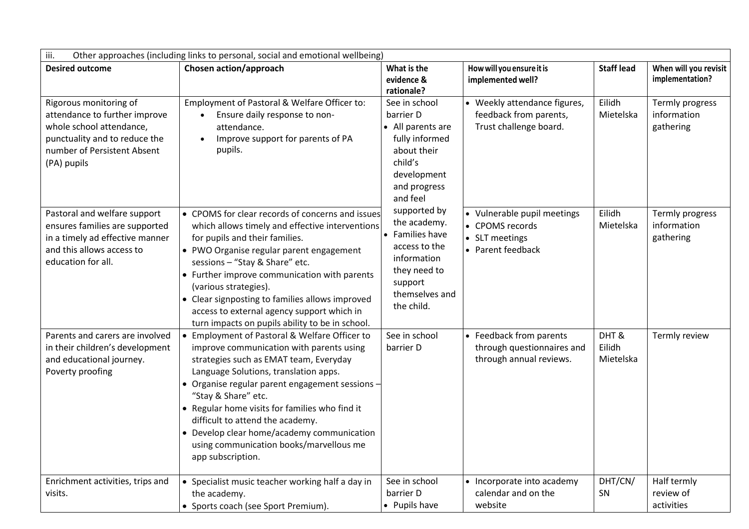| iii.<br>Other approaches (including links to personal, social and emotional wellbeing)                                                                             |                                                                                                                                                                                                                                                                                                                                                                                                                                                            |                                                                                                                                            |                                                                                       |                             |                                             |  |  |
|--------------------------------------------------------------------------------------------------------------------------------------------------------------------|------------------------------------------------------------------------------------------------------------------------------------------------------------------------------------------------------------------------------------------------------------------------------------------------------------------------------------------------------------------------------------------------------------------------------------------------------------|--------------------------------------------------------------------------------------------------------------------------------------------|---------------------------------------------------------------------------------------|-----------------------------|---------------------------------------------|--|--|
| <b>Desired outcome</b>                                                                                                                                             | Chosen action/approach                                                                                                                                                                                                                                                                                                                                                                                                                                     | What is the<br>evidence &<br>rationale?                                                                                                    | How will you ensure it is<br>implemented well?                                        | <b>Staff lead</b>           | When will you revisit<br>implementation?    |  |  |
| Rigorous monitoring of<br>attendance to further improve<br>whole school attendance,<br>punctuality and to reduce the<br>number of Persistent Absent<br>(PA) pupils | Employment of Pastoral & Welfare Officer to:<br>Ensure daily response to non-<br>attendance.<br>Improve support for parents of PA<br>pupils.                                                                                                                                                                                                                                                                                                               | See in school<br>barrier D<br>• All parents are<br>fully informed<br>about their<br>child's<br>development<br>and progress<br>and feel     | • Weekly attendance figures,<br>feedback from parents,<br>Trust challenge board.      | Eilidh<br>Mietelska         | Termly progress<br>information<br>gathering |  |  |
| Pastoral and welfare support<br>ensures families are supported<br>in a timely ad effective manner<br>and this allows access to<br>education for all.               | • CPOMS for clear records of concerns and issues<br>which allows timely and effective interventions<br>for pupils and their families.<br>• PWO Organise regular parent engagement<br>sessions - "Stay & Share" etc.<br>• Further improve communication with parents<br>(various strategies).<br>• Clear signposting to families allows improved<br>access to external agency support which in<br>turn impacts on pupils ability to be in school.           | supported by<br>the academy.<br>• Families have<br>access to the<br>information<br>they need to<br>support<br>themselves and<br>the child. | • Vulnerable pupil meetings<br>• CPOMS records<br>• SLT meetings<br>• Parent feedback | Eilidh<br>Mietelska         | Termly progress<br>information<br>gathering |  |  |
| Parents and carers are involved<br>in their children's development<br>and educational journey.<br>Poverty proofing                                                 | • Employment of Pastoral & Welfare Officer to<br>improve communication with parents using<br>strategies such as EMAT team, Everyday<br>Language Solutions, translation apps.<br>• Organise regular parent engagement sessions -<br>"Stay & Share" etc.<br>• Regular home visits for families who find it<br>difficult to attend the academy.<br>• Develop clear home/academy communication<br>using communication books/marvellous me<br>app subscription. | See in school<br>barrier D                                                                                                                 | • Feedback from parents<br>through questionnaires and<br>through annual reviews.      | DHT&<br>Eilidh<br>Mietelska | Termly review                               |  |  |
| Enrichment activities, trips and<br>visits.                                                                                                                        | • Specialist music teacher working half a day in<br>the academy.<br>• Sports coach (see Sport Premium).                                                                                                                                                                                                                                                                                                                                                    | See in school<br>barrier D<br>• Pupils have                                                                                                | • Incorporate into academy<br>calendar and on the<br>website                          | DHT/CN/<br>SN               | Half termly<br>review of<br>activities      |  |  |